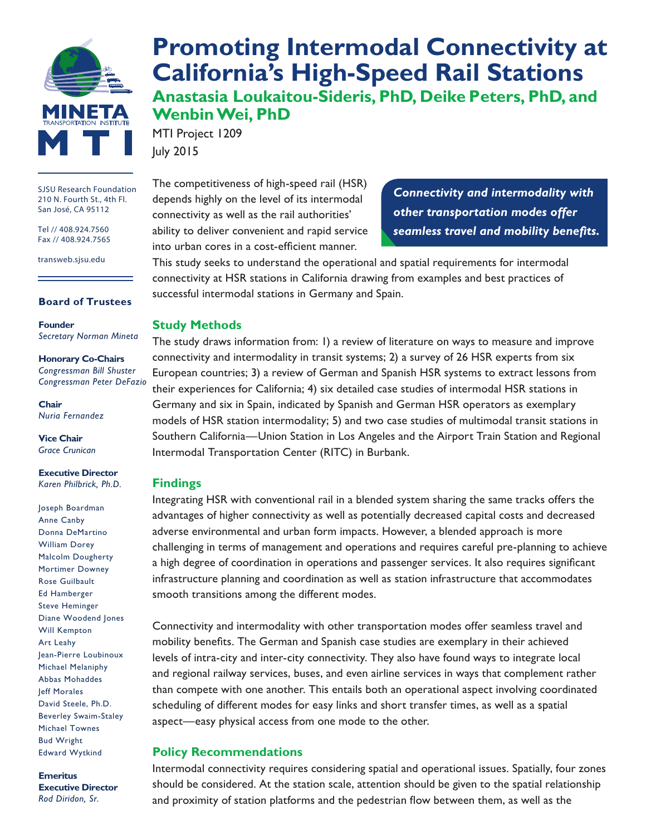

SJSU Research Foundation 210 N. Fourth St., 4th Fl. San José, CA 95112

Tel // 408.924.7560 Fax // 408.924.7565

transweb.sjsu.edu

#### **Board of Trustees**

**Founder** *Secretary Norman Mineta*

**Honorary Co-Chairs** *Congressman Bill Shuster Congressman Peter DeFazio*

**Chair** *Nuria Fernandez*

**Vice Chair** *Grace Crunican*

**Executive Director** *Karen Philbrick, Ph.D.*

Joseph Boardman Anne Canby Donna DeMartino William Dorey Malcolm Dougherty Mortimer Downey Rose Guilbault Ed Hamberger Steve Heminger Diane Woodend Jones Will Kempton Art Leahy Jean-Pierre Loubinoux Michael Melaniphy Abbas Mohaddes Jeff Morales David Steele, Ph.D. Beverley Swaim-Staley Michael Townes Bud Wright Edward Wytkind

**Emeritus Executive Director** *Rod Diridon, Sr.*

# **[Promoting Intermodal Connectivity at](http://transweb.sjsu.edu/project/1209.html)  [California's High-Speed Rail Stations](http://transweb.sjsu.edu/project/1209.html) Anastasia Loukaitou-Sideris, PhD, Deike Peters, PhD, and**

**Wenbin Wei, PhD** MTI Project 1209 July 2015

The competitiveness of high-speed rail (HSR) depends highly on the level of its intermodal connectivity as well as the rail authorities' ability to deliver convenient and rapid service into urban cores in a cost-efficient manner.

*Connectivity and intermodality with other transportation modes offer seamless travel and mobility benefits.*

This study seeks to understand the operational and spatial requirements for intermodal connectivity at HSR stations in California drawing from examples and best practices of successful intermodal stations in Germany and Spain.

#### **Study Methods**

The study draws information from: 1) a review of literature on ways to measure and improve connectivity and intermodality in transit systems; 2) a survey of 26 HSR experts from six European countries; 3) a review of German and Spanish HSR systems to extract lessons from their experiences for California; 4) six detailed case studies of intermodal HSR stations in Germany and six in Spain, indicated by Spanish and German HSR operators as exemplary models of HSR station intermodality; 5) and two case studies of multimodal transit stations in Southern California—Union Station in Los Angeles and the Airport Train Station and Regional Intermodal Transportation Center (RITC) in Burbank.

#### **Findings**

Integrating HSR with conventional rail in a blended system sharing the same tracks offers the advantages of higher connectivity as well as potentially decreased capital costs and decreased adverse environmental and urban form impacts. However, a blended approach is more challenging in terms of management and operations and requires careful pre-planning to achieve a high degree of coordination in operations and passenger services. It also requires significant infrastructure planning and coordination as well as station infrastructure that accommodates smooth transitions among the different modes.

Connectivity and intermodality with other transportation modes offer seamless travel and mobility benefits. The German and Spanish case studies are exemplary in their achieved levels of intra-city and inter-city connectivity. They also have found ways to integrate local and regional railway services, buses, and even airline services in ways that complement rather than compete with one another. This entails both an operational aspect involving coordinated scheduling of different modes for easy links and short transfer times, as well as a spatial aspect—easy physical access from one mode to the other.

#### **Policy Recommendations**

Intermodal connectivity requires considering spatial and operational issues. Spatially, four zones should be considered. At the station scale, attention should be given to the spatial relationship and proximity of station platforms and the pedestrian flow between them, as well as the